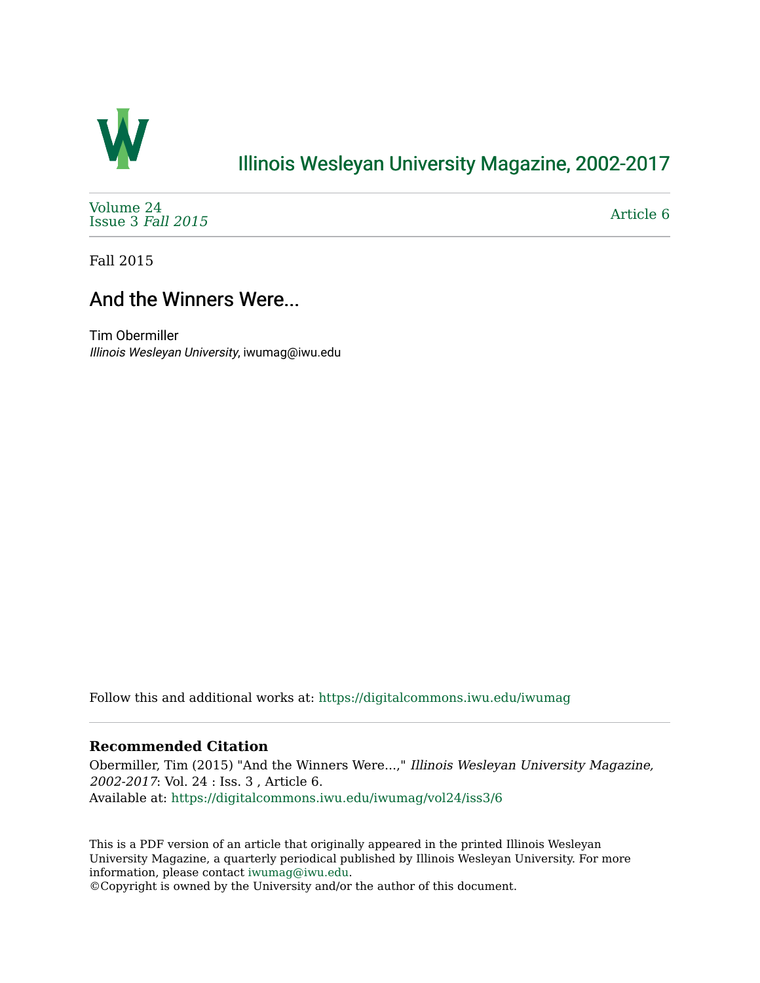

## [Illinois Wesleyan University Magazine, 2002-2017](https://digitalcommons.iwu.edu/iwumag)

[Volume 24](https://digitalcommons.iwu.edu/iwumag/vol24)  [Issue 3](https://digitalcommons.iwu.edu/iwumag/vol24/iss3) Fall 2015

[Article 6](https://digitalcommons.iwu.edu/iwumag/vol24/iss3/6) 

Fall 2015

## And the Winners Were...

Tim Obermiller Illinois Wesleyan University, iwumag@iwu.edu

Follow this and additional works at: [https://digitalcommons.iwu.edu/iwumag](https://digitalcommons.iwu.edu/iwumag?utm_source=digitalcommons.iwu.edu%2Fiwumag%2Fvol24%2Fiss3%2F6&utm_medium=PDF&utm_campaign=PDFCoverPages) 

## **Recommended Citation**

Obermiller, Tim (2015) "And the Winners Were...," Illinois Wesleyan University Magazine, 2002-2017: Vol. 24 : Iss. 3 , Article 6. Available at: [https://digitalcommons.iwu.edu/iwumag/vol24/iss3/6](https://digitalcommons.iwu.edu/iwumag/vol24/iss3/6?utm_source=digitalcommons.iwu.edu%2Fiwumag%2Fvol24%2Fiss3%2F6&utm_medium=PDF&utm_campaign=PDFCoverPages)

This is a PDF version of an article that originally appeared in the printed Illinois Wesleyan University Magazine, a quarterly periodical published by Illinois Wesleyan University. For more information, please contact [iwumag@iwu.edu](mailto:iwumag@iwu.edu).

©Copyright is owned by the University and/or the author of this document.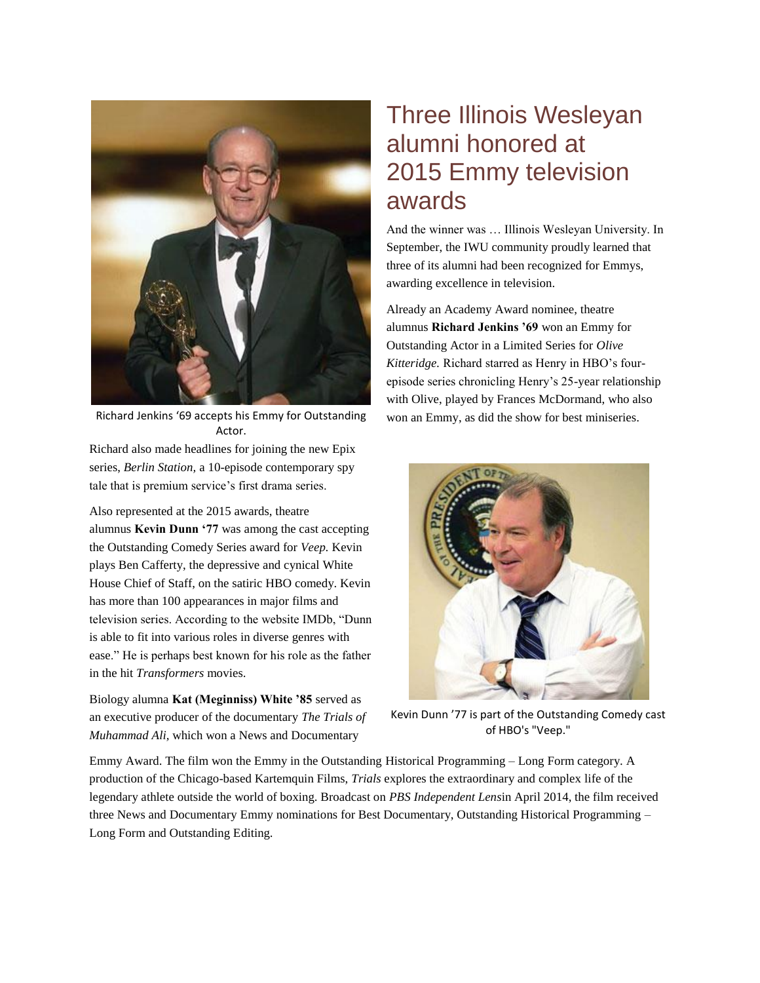

Richard Jenkins '69 accepts his Emmy for Outstanding Actor.

Richard also made headlines for joining the new Epix series, *Berlin Station,* a 10-episode contemporary spy tale that is premium service's first drama series.

Also represented at the 2015 awards, theatre alumnus **Kevin Dunn '77** was among the cast accepting the Outstanding Comedy Series award for *Veep.* Kevin plays Ben Cafferty, the depressive and cynical White House Chief of Staff, on the satiric HBO comedy. Kevin has more than 100 appearances in major films and television series. According to the website IMDb, "Dunn is able to fit into various roles in diverse genres with ease." He is perhaps best known for his role as the father in the hit *Transformers* movies.

Biology alumna **Kat (Meginniss) White '85** served as an executive producer of the documentary *The Trials of Muhammad Ali,* which won a News and Documentary

## Three Illinois Wesleyan alumni honored at 2015 Emmy television awards

And the winner was … Illinois Wesleyan University. In September, the IWU community proudly learned that three of its alumni had been recognized for Emmys, awarding excellence in television.

Already an Academy Award nominee, theatre alumnus **Richard Jenkins '69** won an Emmy for Outstanding Actor in a Limited Series for *Olive Kitteridge.* Richard starred as Henry in HBO's fourepisode series chronicling Henry's 25-year relationship with Olive, played by Frances McDormand, who also won an Emmy, as did the show for best miniseries.



Kevin Dunn '77 is part of the Outstanding Comedy cast of HBO's "Veep."

Emmy Award. The film won the Emmy in the Outstanding Historical Programming – Long Form category. A production of the Chicago-based Kartemquin Films, *Trials* explores the extraordinary and complex life of the legendary athlete outside the world of boxing. Broadcast on *PBS Independent Lens*in April 2014, the film received three News and Documentary Emmy nominations for Best Documentary, Outstanding Historical Programming – Long Form and Outstanding Editing.